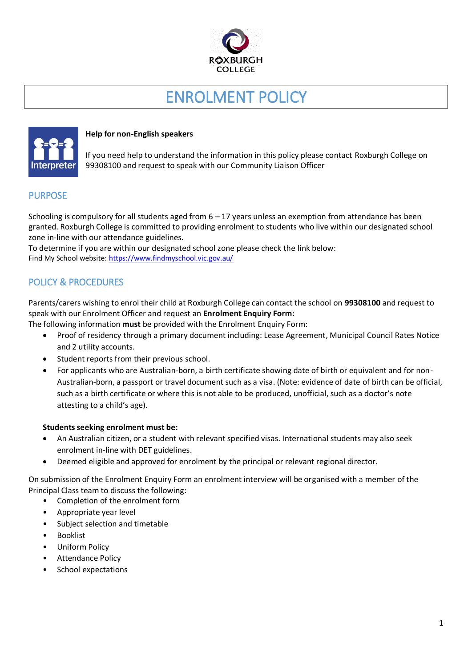

# ENROLMENT POLICY



## **Help for non-English speakers**

If you need help to understand the information in this policy please contact Roxburgh College on 99308100 and request to speak with our Community Liaison Officer

## PURPOSE

Schooling is compulsory for all students aged from 6 – 17 years unless an exemption from attendance has been granted. Roxburgh College is committed to providing enrolment to students who live within our designated school zone in-line with our attendance guidelines.

To determine if you are within our designated school zone please check the link below: Find My School website: [https://www.findmyschool.vic.gov.au/](https://aus01.safelinks.protection.outlook.com/?url=https%3A%2F%2Fwww.findmyschool.vic.gov.au%2F&data=04%7C01%7CLouise.McDonald%40education.vic.gov.au%7Cb6ced461698e4a05261608d96143c3b3%7Cd96cb3371a8744cfb69b3cec334a4c1f%7C0%7C0%7C637647765937542915%7CUnknown%7CTWFpbGZsb3d8eyJWIjoiMC4wLjAwMDAiLCJQIjoiV2luMzIiLCJBTiI6Ik1haWwiLCJXVCI6Mn0%3D%7C1000&sdata=p1BMrX7WIBdaldNFzSciy8moh4yoJ%2B3D7geOvwubq20%3D&reserved=0)

# POLICY & PROCEDURES

Parents/carers wishing to enrol their child at Roxburgh College can contact the school on **99308100** and request to speak with our Enrolment Officer and request an **Enrolment Enquiry Form**:

The following information **must** be provided with the Enrolment Enquiry Form:

- Proof of residency through a primary document including: Lease Agreement, Municipal Council Rates Notice and 2 utility accounts.
- Student reports from their previous school.
- For applicants who are Australian-born, a birth certificate showing date of birth or equivalent and for non-Australian-born, a passport or travel document such as a visa. (Note: evidence of date of birth can be official, such as a birth certificate or where this is not able to be produced, unofficial, such as a doctor's note attesting to a child's age).

#### **Students seeking enrolment must be:**

- An Australian citizen, or a student with relevant specified visas. International students may also seek enrolment in-line with DET guidelines.
- Deemed eligible and approved for enrolment by the principal or relevant regional director.

On submission of the Enrolment Enquiry Form an enrolment interview will be organised with a member of the Principal Class team to discuss the following:

- Completion of the enrolment form
- Appropriate year level
- Subject selection and timetable
- **Booklist**
- Uniform Policy
- Attendance Policy
- School expectations